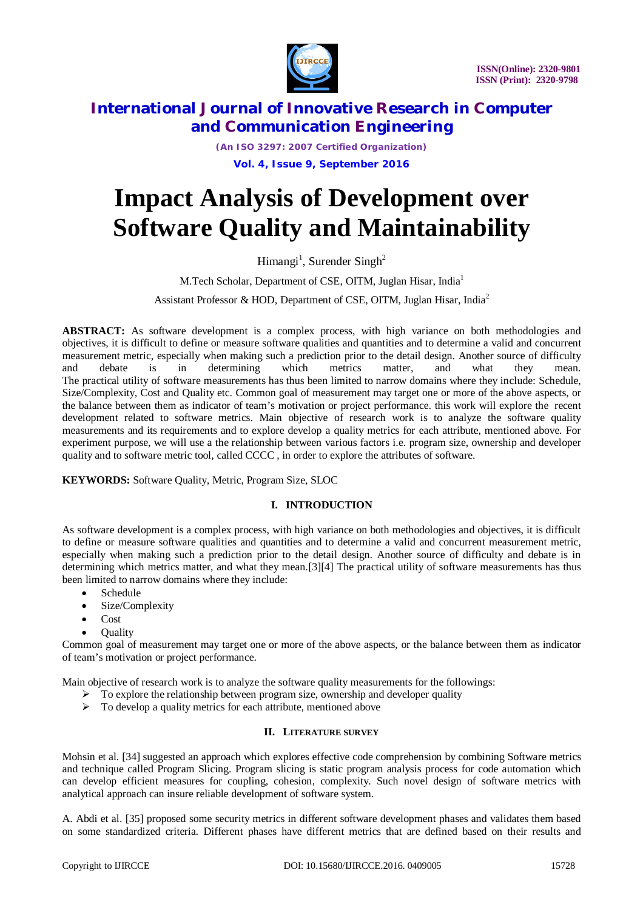

*(An ISO 3297: 2007 Certified Organization)*

**Vol. 4, Issue 9, September 2016**

# **Impact Analysis of Development over Software Quality and Maintainability**

Himangi<sup>1</sup>, Surender Singh<sup>2</sup>

M.Tech Scholar, Department of CSE, OITM, Juglan Hisar, India<sup>1</sup>

Assistant Professor & HOD, Department of CSE, OITM, Juglan Hisar, India<sup>2</sup>

**ABSTRACT:** As software development is a complex process, with high variance on both methodologies and objectives, it is difficult to define or measure software qualities and quantities and to determine a valid and concurrent measurement metric, especially when making such a prediction prior to the detail design. Another source of difficulty and debate is in determining which metrics matter, and what they mean. The practical utility of software measurements has thus been limited to narrow domains where they include: Schedule, Size/Complexity, Cost and Quality etc. Common goal of measurement may target one or more of the above aspects, or the balance between them as indicator of team's motivation or project performance. this work will explore the recent development related to software metrics. Main objective of research work is to analyze the software quality measurements and its requirements and to explore develop a quality metrics for each attribute, mentioned above. For experiment purpose, we will use a the relationship between various factors i.e. program size, ownership and developer quality and to software metric tool, called CCCC, in order to explore the attributes of software.

**KEYWORDS:** Software Quality, Metric, Program Size, SLOC

### **I. INTRODUCTION**

As software development is a complex process, with high variance on both methodologies and objectives, it is difficult to define or measure software qualities and quantities and to determine a valid and concurrent measurement metric, especially when making such a prediction prior to the detail design. Another source of difficulty and debate is in determining which metrics matter, and what they mean.[3][4] The practical utility of software measurements has thus been limited to narrow domains where they include:

- Schedule
- Size/Complexity
- Cost
- Quality

Common goal of measurement may target one or more of the above aspects, or the balance between them as indicator of team's motivation or project performance.

Main objective of research work is to analyze the software quality measurements for the followings:

- $\triangleright$  To explore the relationship between program size, ownership and developer quality
- $\triangleright$  To develop a quality metrics for each attribute, mentioned above

### **II. LITERATURE SURVEY**

Mohsin et al. [34] suggested an approach which explores effective code comprehension by combining Software metrics and technique called Program Slicing. Program slicing is static program analysis process for code automation which can develop efficient measures for coupling, cohesion, complexity. Such novel design of software metrics with analytical approach can insure reliable development of software system.

A. Abdi et al. [35] proposed some security metrics in different software development phases and validates them based on some standardized criteria. Different phases have different metrics that are defined based on their results and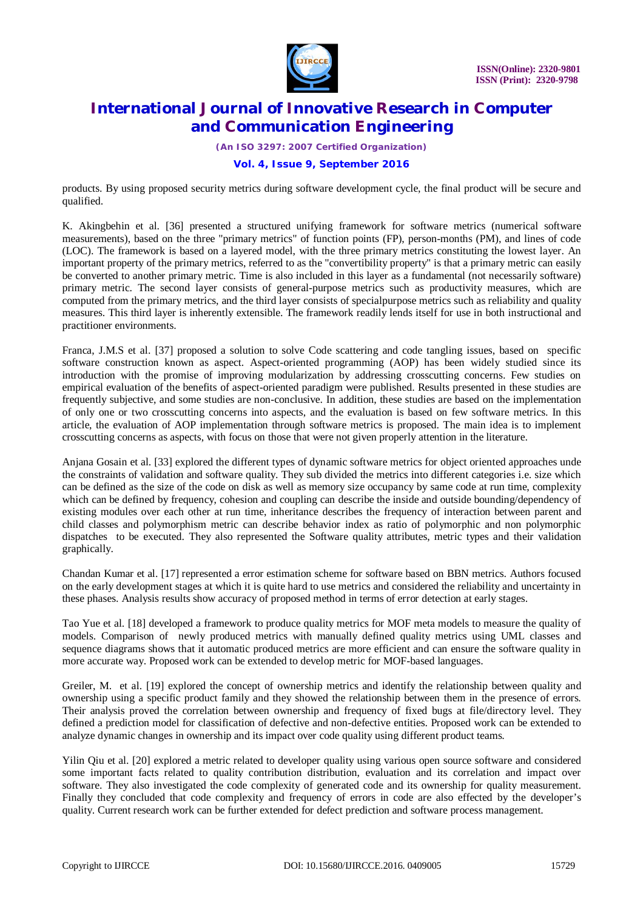

*(An ISO 3297: 2007 Certified Organization)*

### **Vol. 4, Issue 9, September 2016**

products. By using proposed security metrics during software development cycle, the final product will be secure and qualified.

K. Akingbehin et al. [36] presented a structured unifying framework for software metrics (numerical software measurements), based on the three "primary metrics" of function points (FP), person-months (PM), and lines of code (LOC). The framework is based on a layered model, with the three primary metrics constituting the lowest layer. An important property of the primary metrics, referred to as the "convertibility property" is that a primary metric can easily be converted to another primary metric. Time is also included in this layer as a fundamental (not necessarily software) primary metric. The second layer consists of general-purpose metrics such as productivity measures, which are computed from the primary metrics, and the third layer consists of specialpurpose metrics such as reliability and quality measures. This third layer is inherently extensible. The framework readily lends itself for use in both instructional and practitioner environments.

Franca, J.M.S et al. [37] proposed a solution to solve Code scattering and code tangling issues, based on specific software construction known as aspect. Aspect-oriented programming (AOP) has been widely studied since its introduction with the promise of improving modularization by addressing crosscutting concerns. Few studies on empirical evaluation of the benefits of aspect-oriented paradigm were published. Results presented in these studies are frequently subjective, and some studies are non-conclusive. In addition, these studies are based on the implementation of only one or two crosscutting concerns into aspects, and the evaluation is based on few software metrics. In this article, the evaluation of AOP implementation through software metrics is proposed. The main idea is to implement crosscutting concerns as aspects, with focus on those that were not given properly attention in the literature.

Anjana Gosain et al. [33] explored the different types of dynamic software metrics for object oriented approaches unde the constraints of validation and software quality. They sub divided the metrics into different categories i.e. size which can be defined as the size of the code on disk as well as memory size occupancy by same code at run time, complexity which can be defined by frequency, cohesion and coupling can describe the inside and outside bounding/dependency of existing modules over each other at run time, inheritance describes the frequency of interaction between parent and child classes and polymorphism metric can describe behavior index as ratio of polymorphic and non polymorphic dispatches to be executed. They also represented the Software quality attributes, metric types and their validation graphically.

Chandan Kumar et al. [17] represented a error estimation scheme for software based on BBN metrics. Authors focused on the early development stages at which it is quite hard to use metrics and considered the reliability and uncertainty in these phases. Analysis results show accuracy of proposed method in terms of error detection at early stages.

Tao Yue et al. [18] developed a framework to produce quality metrics for MOF meta models to measure the quality of models. Comparison of newly produced metrics with manually defined quality metrics using UML classes and sequence diagrams shows that it automatic produced metrics are more efficient and can ensure the software quality in more accurate way. Proposed work can be extended to develop metric for MOF-based languages.

Greiler, M. et al. [19] explored the concept of ownership metrics and identify the relationship between quality and ownership using a specific product family and they showed the relationship between them in the presence of errors. Their analysis proved the correlation between ownership and frequency of fixed bugs at file/directory level. They defined a prediction model for classification of defective and non-defective entities. Proposed work can be extended to analyze dynamic changes in ownership and its impact over code quality using different product teams.

Yilin Qiu et al. [20] explored a metric related to developer quality using various open source software and considered some important facts related to quality contribution distribution, evaluation and its correlation and impact over software. They also investigated the code complexity of generated code and its ownership for quality measurement. Finally they concluded that code complexity and frequency of errors in code are also effected by the developer's quality. Current research work can be further extended for defect prediction and software process management.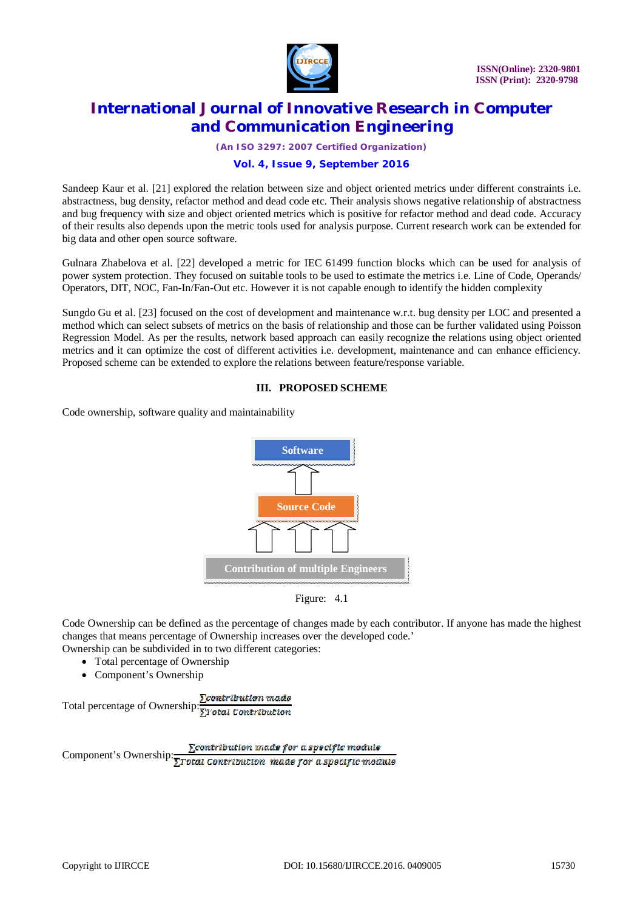

*(An ISO 3297: 2007 Certified Organization)*

### **Vol. 4, Issue 9, September 2016**

Sandeep Kaur et al. [21] explored the relation between size and object oriented metrics under different constraints i.e. abstractness, bug density, refactor method and dead code etc. Their analysis shows negative relationship of abstractness and bug frequency with size and object oriented metrics which is positive for refactor method and dead code. Accuracy of their results also depends upon the metric tools used for analysis purpose. Current research work can be extended for big data and other open source software.

Gulnara Zhabelova et al. [22] developed a metric for IEC 61499 function blocks which can be used for analysis of power system protection. They focused on suitable tools to be used to estimate the metrics i.e. Line of Code, Operands/ Operators, DIT, NOC, Fan-In/Fan-Out etc. However it is not capable enough to identify the hidden complexity

Sungdo Gu et al. [23] focused on the cost of development and maintenance w.r.t. bug density per LOC and presented a method which can select subsets of metrics on the basis of relationship and those can be further validated using Poisson Regression Model. As per the results, network based approach can easily recognize the relations using object oriented metrics and it can optimize the cost of different activities i.e. development, maintenance and can enhance efficiency. Proposed scheme can be extended to explore the relations between feature/response variable.

#### **III. PROPOSED SCHEME**

Code ownership, software quality and maintainability





Code Ownership can be defined as the percentage of changes made by each contributor. If anyone has made the highest changes that means percentage of Ownership increases over the developed code.' Ownership can be subdivided in to two different categories:

- Total percentage of Ownership
- Component's Ownership

Total percentage of Ownership:  $\frac{\sum \text{contribution}}{2\sum \text{total contribution}}$ 

Component's Ownership: $\frac{\sum \text{contribution made for a specific module}}{\sum \text{Total contribution made for a specific module}}$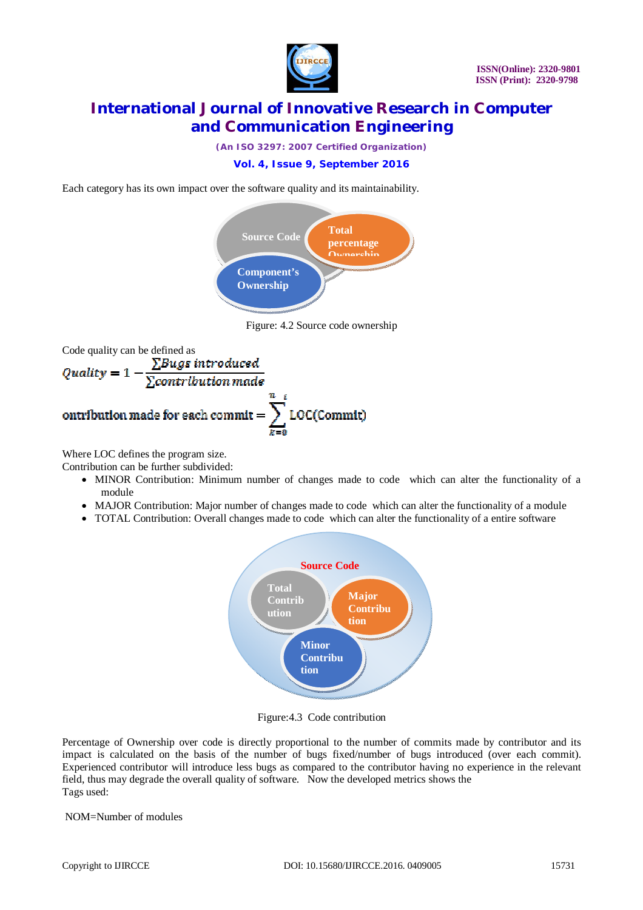

*(An ISO 3297: 2007 Certified Organization)*

### **Vol. 4, Issue 9, September 2016**

Each category has its own impact over the software quality and its maintainability.



Figure: 4.2 Source code ownership



Where LOC defines the program size.

Contribution can be further subdivided:

- MINOR Contribution: Minimum number of changes made to code which can alter the functionality of a module
- MAJOR Contribution: Major number of changes made to code which can alter the functionality of a module
- TOTAL Contribution: Overall changes made to code which can alter the functionality of a entire software



Figure:4.3 Code contribution

Percentage of Ownership over code is directly proportional to the number of commits made by contributor and its impact is calculated on the basis of the number of bugs fixed/number of bugs introduced (over each commit). Experienced contributor will introduce less bugs as compared to the contributor having no experience in the relevant field, thus may degrade the overall quality of software. Now the developed metrics shows the Tags used:

NOM=Number of modules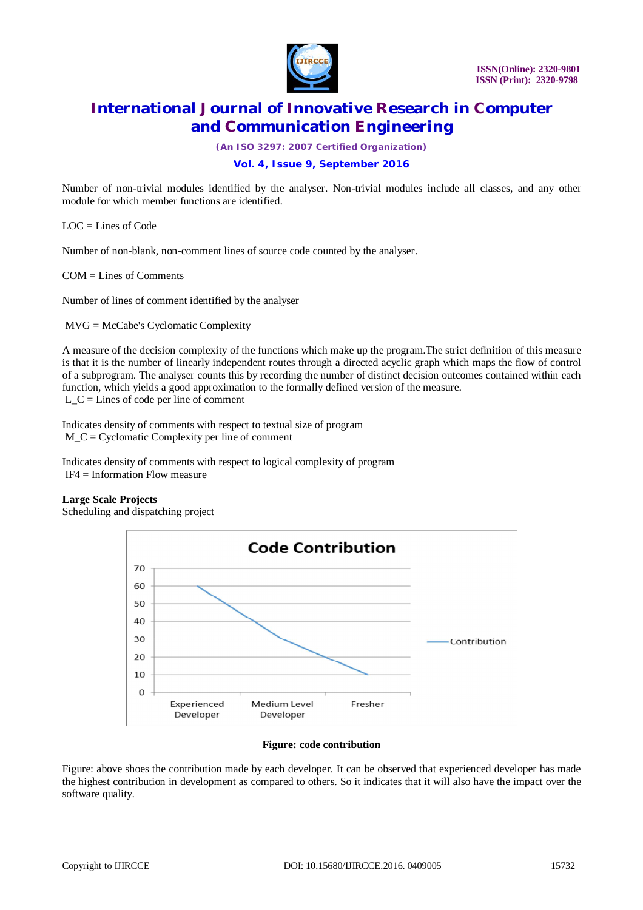

*(An ISO 3297: 2007 Certified Organization)*

### **Vol. 4, Issue 9, September 2016**

Number of non-trivial modules identified by the analyser. Non-trivial modules include all classes, and any other module for which member functions are identified.

 $LOC =$  Lines of Code

Number of non-blank, non-comment lines of source code counted by the analyser.

COM = Lines of Comments

Number of lines of comment identified by the analyser

MVG = McCabe's Cyclomatic Complexity

A measure of the decision complexity of the functions which make up the program.The strict definition of this measure is that it is the number of linearly independent routes through a directed acyclic graph which maps the flow of control of a subprogram. The analyser counts this by recording the number of distinct decision outcomes contained within each function, which yields a good approximation to the formally defined version of the measure. L  $C =$  Lines of code per line of comment

Indicates density of comments with respect to textual size of program M\_C = Cyclomatic Complexity per line of comment

Indicates density of comments with respect to logical complexity of program IF4 = Information Flow measure

#### **Large Scale Projects**

Scheduling and dispatching project



#### **Figure: code contribution**

Figure: above shoes the contribution made by each developer. It can be observed that experienced developer has made the highest contribution in development as compared to others. So it indicates that it will also have the impact over the software quality.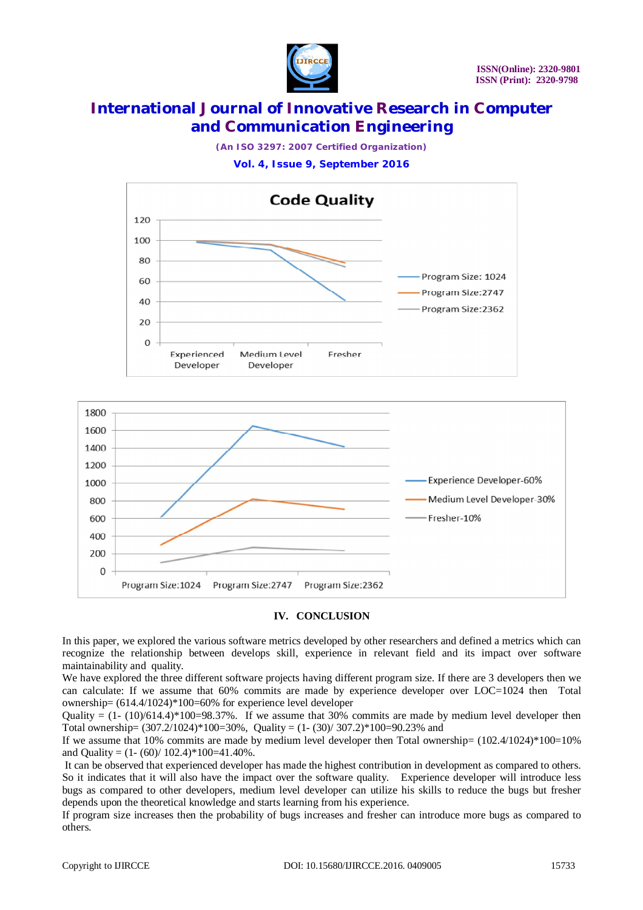

*(An ISO 3297: 2007 Certified Organization)*

**Vol. 4, Issue 9, September 2016**





#### **IV. CONCLUSION**

In this paper, we explored the various software metrics developed by other researchers and defined a metrics which can recognize the relationship between develops skill, experience in relevant field and its impact over software maintainability and quality.

We have explored the three different software projects having different program size. If there are 3 developers then we can calculate: If we assume that 60% commits are made by experience developer over LOC=1024 then Total ownership= (614.4/1024)\*100=60% for experience level developer

Quality =  $(1-(10)/614.4)*100=98.37%$ . If we assume that 30% commits are made by medium level developer then Total ownership=  $(307.2/1024)*100=30%$ , Quality =  $(1-(30)/307.2)*100=90.23%$  and

If we assume that 10% commits are made by medium level developer then Total ownership=  $(102.4/1024) * 100=10%$ and Quality =  $(1 - (60)/102.4)$  \*  $100=41.40$ %.

It can be observed that experienced developer has made the highest contribution in development as compared to others. So it indicates that it will also have the impact over the software quality. Experience developer will introduce less bugs as compared to other developers, medium level developer can utilize his skills to reduce the bugs but fresher depends upon the theoretical knowledge and starts learning from his experience.

If program size increases then the probability of bugs increases and fresher can introduce more bugs as compared to others.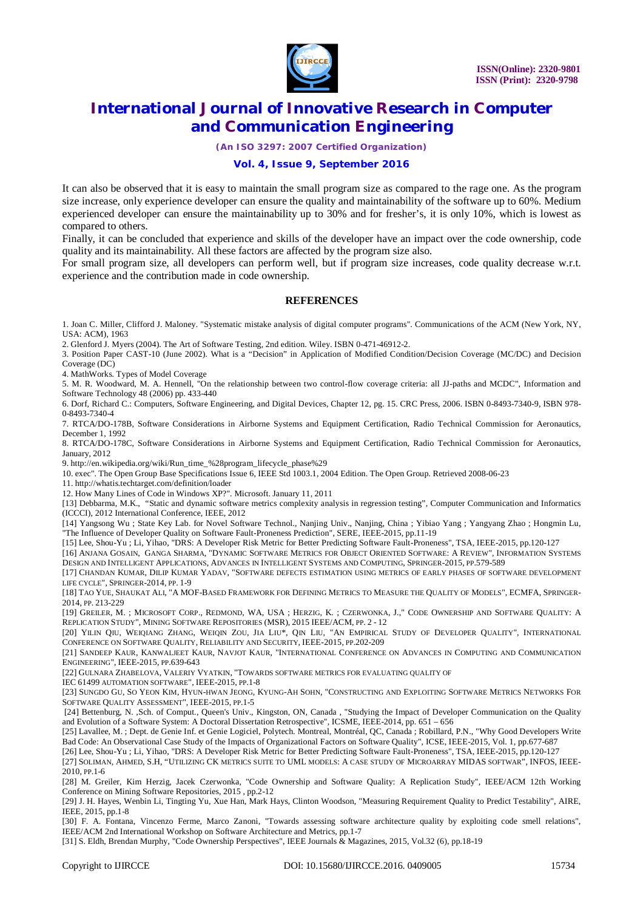

*(An ISO 3297: 2007 Certified Organization)*

### **Vol. 4, Issue 9, September 2016**

It can also be observed that it is easy to maintain the small program size as compared to the rage one. As the program size increase, only experience developer can ensure the quality and maintainability of the software up to 60%. Medium experienced developer can ensure the maintainability up to 30% and for fresher's, it is only 10%, which is lowest as compared to others.

Finally, it can be concluded that experience and skills of the developer have an impact over the code ownership, code quality and its maintainability. All these factors are affected by the program size also.

For small program size, all developers can perform well, but if program size increases, code quality decrease w.r.t. experience and the contribution made in code ownership.

#### **REFERENCES**

1. Joan C. Miller, Clifford J. Maloney. "Systematic mistake analysis of digital computer programs". Communications of the ACM (New York, NY, USA: ACM), 1963

2. Glenford J. Myers (2004). The Art of Software Testing, 2nd edition. Wiley. ISBN 0-471-46912-2.

3. Position Paper CAST-10 (June 2002). What is a "Decision" in Application of Modified Condition/Decision Coverage (MC/DC) and Decision Coverage (DC)

4. MathWorks. Types of Model Coverage

5. M. R. Woodward, M. A. Hennell, "On the relationship between two control-flow coverage criteria: all JJ-paths and MCDC", Information and Software Technology 48 (2006) pp. 433-440

6. Dorf, Richard C.: Computers, Software Engineering, and Digital Devices, Chapter 12, pg. 15. CRC Press, 2006. ISBN 0-8493-7340-9, ISBN 978- 0-8493-7340-4

7. RTCA/DO-178B, Software Considerations in Airborne Systems and Equipment Certification, Radio Technical Commission for Aeronautics, December 1, 1992

8. RTCA/DO-178C, Software Considerations in Airborne Systems and Equipment Certification, Radio Technical Commission for Aeronautics, January, 2012

9. [http://en.wikipedia.org/wiki/Run\\_time\\_%28program\\_lifecycle\\_phase%29](http://en.wikipedia.org/wiki/Run_time_%28program_lifecycle_phase%29)

10. exec". The Open Group Base Specifications Issue 6, IEEE Std 1003.1, 2004 Edition. The Open Group. Retrieved 2008-06-23

11. <http://whatis.techtarget.com/definition/loader>

12. How Many Lines of Code in Windows XP?". Microsoft. January 11, 2011

[13] Debbarma, M.K., "Static and dynamic software metrics complexity analysis in regression testing", Computer Communication and Informatics (ICCCI), 2012 International Conference, IEEE, 2012

[14] Yangsong Wu ; State Key Lab. for Novel Software Technol., Nanjing Univ., Nanjing, China ; Yibiao Yang ; Yangyang Zhao ; Hongmin Lu, "The Influence of Developer Quality on Software Fault-Proneness Prediction", SERE, IEEE-2015, pp.11-19

[15] Lee, Shou-Yu ; Li, Yihao, "DRS: A Developer Risk Metric for Better Predicting Software Fault-Proneness", TSA, IEEE-2015, pp.120-127

[16] ANJANA GOSAIN, GANGA SHARMA, "DYNAMIC SOFTWARE METRICS FOR OBJECT ORIENTED SOFTWARE: A REVIEW", INFORMATION SYSTEMS DESIGN AND INTELLIGENT APPLICATIONS, ADVANCES IN INTELLIGENT SYSTEMS AND COMPUTING, SPRINGER-2015, PP.579-589

[17] CHANDAN KUMAR, DILIP KUMAR YADAV, "SOFTWARE DEFECTS ESTIMATION USING METRICS OF EARLY PHASES OF SOFTWARE DEVELOPMENT LIFE CYCLE", SPRINGER-2014, PP. 1-9

[18] TAO YUE, SHAUKAT ALI, "A MOF-BASED FRAMEWORK FOR DEFINING METRICS TO MEASURE THE QUALITY OF MODELS", ECMFA, SPRINGER-2014, PP. 213-229

[19] GREILER, M. ; MICROSOFT CORP., REDMOND, WA, USA ; HERZIG, K. ; CZERWONKA, J.," CODE OWNERSHIP AND SOFTWARE QUALITY: A REPLICATION STUDY", MINING SOFTWARE REPOSITORIES (MSR), 2015 IEEE/ACM, PP. 2 - 12

[20] YILIN QIU, WEIQIANG ZHANG, WEIQIN ZOU, JIA LIU\*, QIN LIU, "AN EMPIRICAL STUDY OF DEVELOPER QUALITY", INTERNATIONAL CONFERENCE ON SOFTWARE QUALITY, RELIABILITY AND SECURITY, IEEE-2015, PP.202-209

[21] SANDEEP KAUR, KANWALJEET KAUR, NAVJOT KAUR, "INTERNATIONAL CONFERENCE ON ADVANCES IN COMPUTING AND COMMUNICATION ENGINEERING", IEEE-2015, PP.639-643

[22] GULNARA ZHABELOVA, VALERIY VYATKIN, "TOWARDS SOFTWARE METRICS FOR EVALUATING QUALITY OF

IEC 61499 AUTOMATION SOFTWARE", IEEE-2015, PP.1-8

[23] SUNGDO GU, SO YEON KIM, HYUN-HWAN JEONG, KYUNG-AH SOHN, "CONSTRUCTING AND EXPLOITING SOFTWARE METRICS NETWORKS FOR SOFTWARE QUALITY ASSESSMENT", IEEE-2015, PP.1-5

[24] Bettenburg, N. ,Sch. of Comput., Queen's Univ., Kingston, ON, Canada , "Studying the Impact of Developer Communication on the Quality and Evolution of a Software System: A Doctoral Dissertation Retrospective", ICSME, IEEE-2014, pp. 651 – 656

[25] Lavallee, M. ; Dept. de Genie Inf. et Genie Logiciel, Polytech. Montreal, Montréal, QC, Canada ; Robillard, P.N., "Why Good Developers Write Bad Code: An Observational Case Study of the Impacts of Organizational Factors on Software Quality", ICSE, IEEE-2015, Vol. 1, pp.677-687

[26] Lee, Shou-Yu ; Li, Yihao, "DRS: A Developer Risk Metric for Better Predicting Software Fault-Proneness", TSA, IEEE-2015, pp.120-127

[27] SOLIMAN, AHMED, S.H, "UTILIZING CK METRICS SUITE TO UML MODELS: A CASE STUDY OF MICROARRAY MIDAS SOFTWAR", INFOS, IEEE-2010, PP.1-6

[28] M. Greiler, Kim Herzig, Jacek Czerwonka, "Code Ownership and Software Quality: A Replication Study", IEEE/ACM 12th Working Conference on Mining Software Repositories, 2015 , pp.2-12

[29] J. H. Hayes, Wenbin Li, Tingting Yu, Xue Han, Mark Hays, Clinton Woodson, "Measuring Requirement Quality to Predict Testability", AIRE, IEEE, 2015, pp.1-8

[30] F. A. Fontana, Vincenzo Ferme, Marco Zanoni, "Towards assessing software architecture quality by exploiting code smell relations", IEEE/ACM 2nd International Workshop on Software Architecture and Metrics, pp.1-7

[31] S. Eldh, Brendan Murphy, "Code Ownership Perspectives", IEEE Journals & Magazines, 2015, Vol.32 (6), pp.18-19